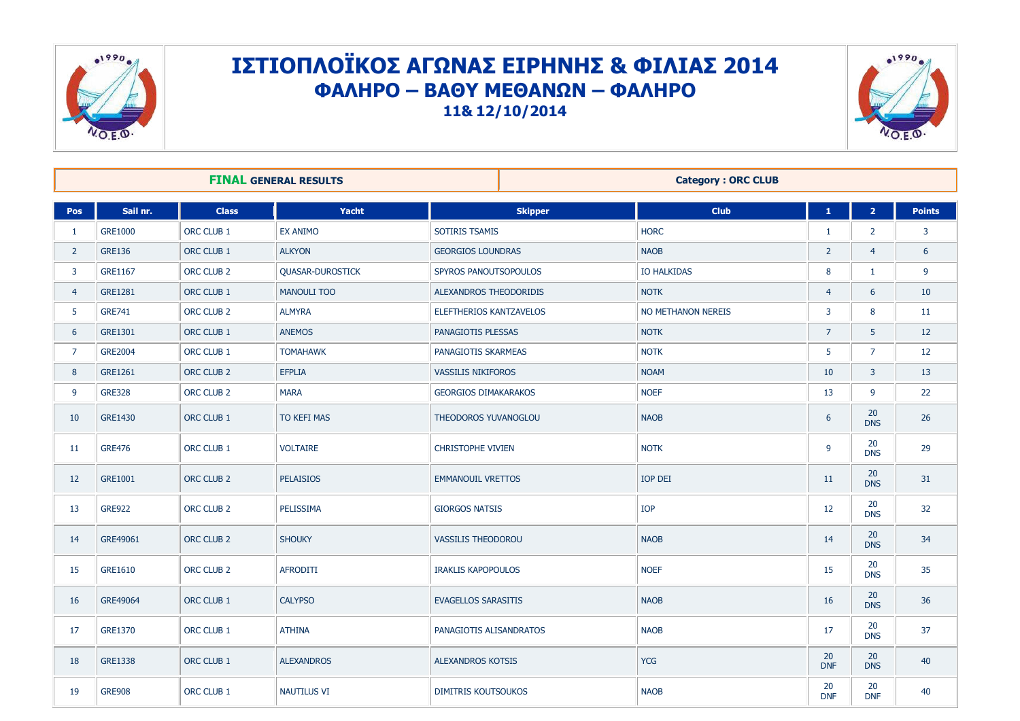

## ΙΣΤΙΟΠΛΟΪΚΟΣ ΑΓΩΝΑΣ ΕΙΡΗΝΗΣ & ΦΙΛΙΑΣ 2014 **ΦΑΛΗΡΟ – ΒΑΘΤ ΜΕΘΑΝΩΝ – ΦΑΛΗΡΟ 11& 12/10/2014**



| <b>FINAL GENERAL RESULTS</b> |                |                       |                         | <b>Category: ORC CLUB</b>   |  |                    |                  |                         |               |
|------------------------------|----------------|-----------------------|-------------------------|-----------------------------|--|--------------------|------------------|-------------------------|---------------|
| Pos                          | Sail nr.       | <b>Class</b>          | Yacht                   | <b>Skipper</b>              |  | <b>Club</b>        | $\mathbf{1}$     | $\overline{\mathbf{2}}$ | <b>Points</b> |
| 1                            | GRE1000        | ORC CLUB 1            | <b>EX ANIMO</b>         | SOTIRIS TSAMIS              |  | <b>HORC</b>        | -1               | $\overline{2}$          | 3             |
| $\overline{2}$               | <b>GRE136</b>  | ORC CLUB 1            | <b>ALKYON</b>           | <b>GEORGIOS LOUNDRAS</b>    |  | <b>NAOB</b>        | $\overline{2}$   | $\overline{4}$          | 6             |
| 3                            | GRE1167        | ORC CLUB 2            | <b>QUASAR-DUROSTICK</b> | SPYROS PANOUTSOPOULOS       |  | <b>IO HALKIDAS</b> | 8                | 1                       | 9             |
| $\overline{4}$               | GRE1281        | ORC CLUB 1            | <b>MANOULI TOO</b>      | ALEXANDROS THEODORIDIS      |  | <b>NOTK</b>        | $\overline{4}$   | 6                       | 10            |
| 5                            | <b>GRE741</b>  | ORC CLUB <sub>2</sub> | <b>ALMYRA</b>           | ELEFTHERIOS KANTZAVELOS     |  | NO METHANON NEREIS | 3                | 8                       | 11            |
| 6                            | <b>GRE1301</b> | ORC CLUB 1            | <b>ANEMOS</b>           | PANAGIOTIS PLESSAS          |  | <b>NOTK</b>        | $\overline{7}$   | 5                       | 12            |
| $\overline{7}$               | <b>GRE2004</b> | ORC CLUB 1            | <b>TOMAHAWK</b>         | PANAGIOTIS SKARMEAS         |  | <b>NOTK</b>        | 5                | $\overline{7}$          | 12            |
| 8                            | <b>GRE1261</b> | ORC CLUB 2            | <b>EFPLIA</b>           | <b>VASSILIS NIKIFOROS</b>   |  | <b>NOAM</b>        | 10 <sup>°</sup>  | 3                       | 13            |
| 9                            | <b>GRE328</b>  | ORC CLUB <sub>2</sub> | <b>MARA</b>             | <b>GEORGIOS DIMAKARAKOS</b> |  | <b>NOEF</b>        | 13               | 9                       | 22            |
| 10                           | <b>GRE1430</b> | ORC CLUB 1            | TO KEFI MAS             | THEODOROS YUVANOGLOU        |  | <b>NAOB</b>        | 6                | 20<br><b>DNS</b>        | 26            |
| 11                           | <b>GRE476</b>  | ORC CLUB 1            | <b>VOLTAIRE</b>         | <b>CHRISTOPHE VIVIEN</b>    |  | <b>NOTK</b>        | $\mathbf{q}$     | 20<br><b>DNS</b>        | 29            |
| 12                           | <b>GRE1001</b> | ORC CLUB <sub>2</sub> | <b>PELAISIOS</b>        | <b>EMMANOUIL VRETTOS</b>    |  | <b>IOP DEI</b>     | 11               | 20<br><b>DNS</b>        | 31            |
| 13                           | <b>GRE922</b>  | ORC CLUB <sub>2</sub> | PELISSIMA               | <b>GIORGOS NATSIS</b>       |  | IOP                | 12               | 20<br><b>DNS</b>        | 32            |
| 14                           | GRE49061       | ORC CLUB 2            | <b>SHOUKY</b>           | <b>VASSILIS THEODOROU</b>   |  | <b>NAOB</b>        | 14               | 20<br><b>DNS</b>        | 34            |
| 15                           | GRE1610        | ORC CLUB <sub>2</sub> | <b>AFRODITI</b>         | <b>IRAKLIS KAPOPOULOS</b>   |  | <b>NOEF</b>        | 15               | 20<br><b>DNS</b>        | 35            |
| 16                           | GRE49064       | ORC CLUB 1            | <b>CALYPSO</b>          | <b>EVAGELLOS SARASITIS</b>  |  | <b>NAOB</b>        | 16               | 20<br><b>DNS</b>        | 36            |
| 17                           | <b>GRE1370</b> | ORC CLUB 1            | <b>ATHINA</b>           | PANAGIOTIS ALISANDRATOS     |  | <b>NAOB</b>        | 17               | 20<br><b>DNS</b>        | 37            |
| 18                           | <b>GRE1338</b> | ORC CLUB 1            | <b>ALEXANDROS</b>       | <b>ALEXANDROS KOTSIS</b>    |  | <b>YCG</b>         | 20<br><b>DNF</b> | 20<br><b>DNS</b>        | 40            |
| 19                           | <b>GRE908</b>  | ORC CLUB 1            | <b>NAUTILUS VI</b>      | <b>DIMITRIS KOUTSOUKOS</b>  |  | <b>NAOB</b>        | 20<br><b>DNF</b> | 20<br><b>DNF</b>        | 40            |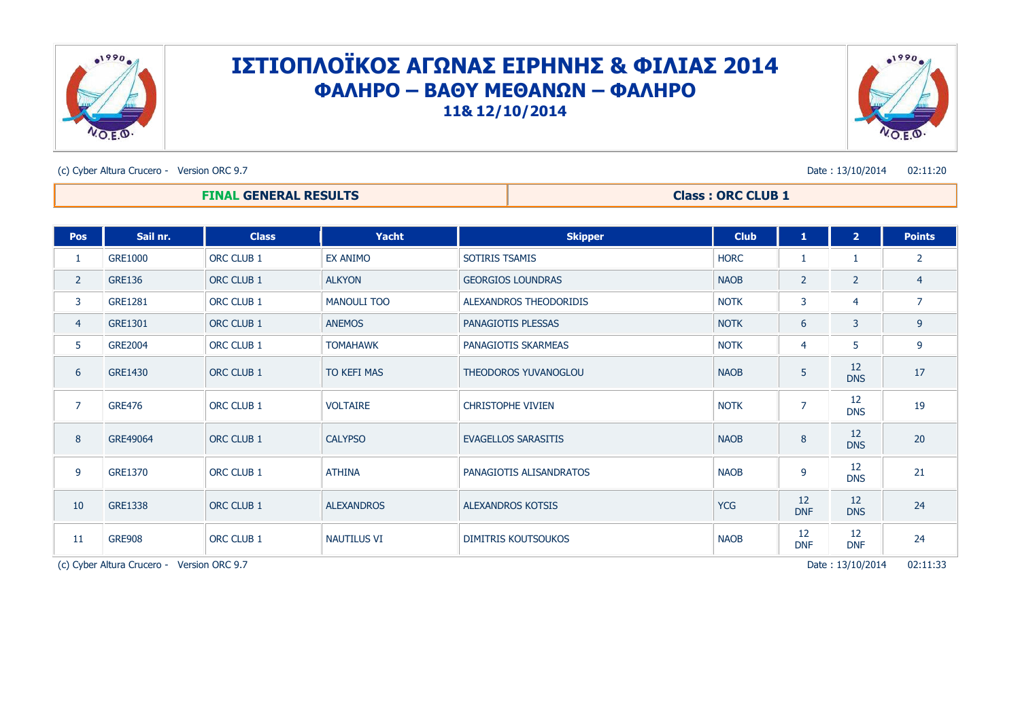

## ΙΣΤΙΟΠΛΟΪΚΟΣ ΑΓΩΝΑΣ ΕΙΡΗΝΗΣ & ΦΙΛΙΑΣ 2014 **ΦΑΛΗΡΟ – ΒΑΘΤ ΜΕΘΑΝΩΝ – ΦΑΛΗΡΟ 11& 12/10/2014**



(c) Cyber Altura Crucero - Version ORC 9.7 Date : 13/10/2014 02:11:20

## **FINAL GENERAL RESULTS Class : ORC CLUB 1**

| Pos                                                            | Sail nr.       | <b>Class</b> | Yacht              | <b>Skipper</b>              | <b>Club</b> | $\mathbf{1}$     | 2 <sup>1</sup>   | <b>Points</b>  |
|----------------------------------------------------------------|----------------|--------------|--------------------|-----------------------------|-------------|------------------|------------------|----------------|
| 1                                                              | <b>GRE1000</b> | ORC CLUB 1   | EX ANIMO           | SOTIRIS TSAMIS              | <b>HORC</b> |                  | 1                | $\overline{2}$ |
| $\overline{2}$                                                 | <b>GRE136</b>  | ORC CLUB 1   | <b>ALKYON</b>      | <b>GEORGIOS LOUNDRAS</b>    | <b>NAOB</b> | $\overline{2}$   | $\overline{2}$   | $\overline{4}$ |
| 3                                                              | <b>GRE1281</b> | ORC CLUB 1   | <b>MANOULI TOO</b> | ALEXANDROS THEODORIDIS      | <b>NOTK</b> | 3                | 4                | $\overline{7}$ |
| $\overline{4}$                                                 | GRE1301        | ORC CLUB 1   | <b>ANEMOS</b>      | PANAGIOTIS PLESSAS          | <b>NOTK</b> | 6                | 3                | 9              |
| 5                                                              | <b>GRE2004</b> | ORC CLUB 1   | <b>TOMAHAWK</b>    | PANAGIOTIS SKARMEAS         | <b>NOTK</b> | 4                | 5                | 9              |
| 6                                                              | <b>GRE1430</b> | ORC CLUB 1   | TO KEFI MAS        | <b>THEODOROS YUVANOGLOU</b> | <b>NAOB</b> | 5                | 12<br><b>DNS</b> | 17             |
| $\overline{7}$                                                 | <b>GRE476</b>  | ORC CLUB 1   | <b>VOLTAIRE</b>    | <b>CHRISTOPHE VIVIEN</b>    | <b>NOTK</b> | $\overline{7}$   | 12<br><b>DNS</b> | 19             |
| 8                                                              | GRE49064       | ORC CLUB 1   | <b>CALYPSO</b>     | <b>EVAGELLOS SARASITIS</b>  | <b>NAOB</b> | 8                | 12<br><b>DNS</b> | 20             |
| 9                                                              | <b>GRE1370</b> | ORC CLUB 1   | <b>ATHINA</b>      | PANAGIOTIS ALISANDRATOS     | <b>NAOB</b> | 9                | 12<br><b>DNS</b> | 21             |
| 10                                                             | <b>GRE1338</b> | ORC CLUB 1   | <b>ALEXANDROS</b>  | <b>ALEXANDROS KOTSIS</b>    | <b>YCG</b>  | 12<br><b>DNF</b> | 12<br><b>DNS</b> | 24             |
| 11                                                             | <b>GRE908</b>  | ORC CLUB 1   | <b>NAUTILUS VI</b> | <b>DIMITRIS KOUTSOUKOS</b>  | <b>NAOB</b> | 12<br><b>DNF</b> | 12<br><b>DNF</b> | 24             |
| Date: 13/10/2014<br>(c) Cyber Altura Crucero - Version ORC 9.7 |                |              |                    |                             |             |                  |                  | 02:11:33       |